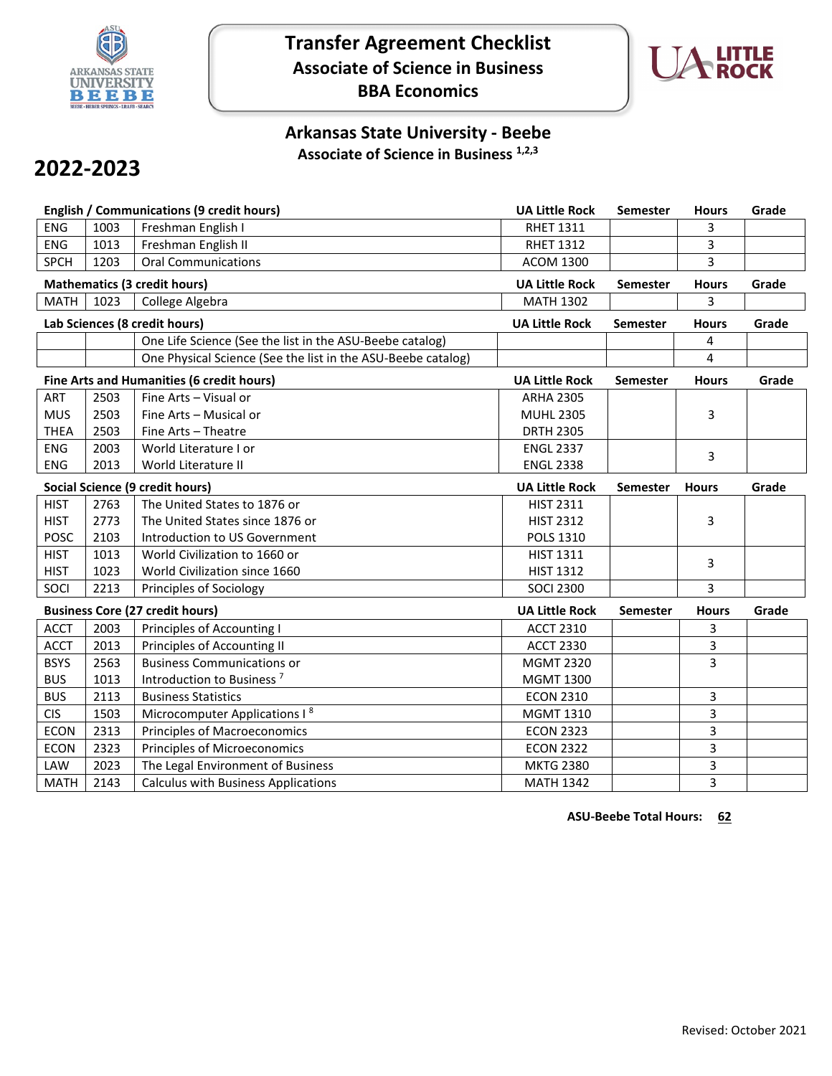

## **Transfer Agreement Checklist Associate of Science in Business BBA Economics**



## **Arkansas State University - Beebe Associate of Science in Business 1,2,3**

# **2022-2023**

| <b>English / Communications (9 credit hours)</b> |                                                              |                                           | <b>UA Little Rock</b> | Semester        | <b>Hours</b> | Grade |
|--------------------------------------------------|--------------------------------------------------------------|-------------------------------------------|-----------------------|-----------------|--------------|-------|
| <b>ENG</b>                                       | 1003                                                         | Freshman English I                        | <b>RHET 1311</b>      |                 | 3            |       |
| <b>ENG</b>                                       | 1013                                                         | Freshman English II                       | <b>RHET 1312</b>      |                 | 3            |       |
| <b>SPCH</b>                                      | 1203                                                         | <b>Oral Communications</b>                | <b>ACOM 1300</b>      |                 | 3            |       |
| <b>Mathematics (3 credit hours)</b>              |                                                              |                                           | <b>UA Little Rock</b> | <b>Semester</b> | <b>Hours</b> | Grade |
| <b>MATH</b>                                      | 1023                                                         | College Algebra                           | <b>MATH 1302</b>      |                 | 3            |       |
| Lab Sciences (8 credit hours)                    |                                                              |                                           | <b>UA Little Rock</b> | <b>Semester</b> | <b>Hours</b> | Grade |
|                                                  | One Life Science (See the list in the ASU-Beebe catalog)     |                                           |                       |                 | 4            |       |
|                                                  | One Physical Science (See the list in the ASU-Beebe catalog) |                                           |                       |                 | 4            |       |
| Fine Arts and Humanities (6 credit hours)        |                                                              |                                           | <b>UA Little Rock</b> | Semester        | <b>Hours</b> | Grade |
| <b>ART</b>                                       | 2503                                                         | Fine Arts - Visual or                     | <b>ARHA 2305</b>      |                 |              |       |
| <b>MUS</b>                                       | 2503                                                         | Fine Arts - Musical or                    | <b>MUHL 2305</b>      |                 | 3            |       |
| <b>THEA</b>                                      | 2503                                                         | Fine Arts - Theatre                       | <b>DRTH 2305</b>      |                 |              |       |
| <b>ENG</b>                                       | 2003                                                         | World Literature I or                     | <b>ENGL 2337</b>      |                 | 3            |       |
| <b>ENG</b>                                       | 2013                                                         | World Literature II                       | <b>ENGL 2338</b>      |                 |              |       |
| Social Science (9 credit hours)                  |                                                              |                                           | <b>UA Little Rock</b> | <b>Semester</b> | <b>Hours</b> | Grade |
| <b>HIST</b>                                      | 2763                                                         | The United States to 1876 or              | <b>HIST 2311</b>      |                 |              |       |
| <b>HIST</b>                                      | 2773                                                         | The United States since 1876 or           | <b>HIST 2312</b>      |                 | 3            |       |
| <b>POSC</b>                                      | 2103                                                         | Introduction to US Government             | POLS 1310             |                 |              |       |
| <b>HIST</b>                                      | 1013                                                         | World Civilization to 1660 or             | <b>HIST 1311</b>      |                 | 3            |       |
| <b>HIST</b>                                      | 1023                                                         | World Civilization since 1660             | <b>HIST 1312</b>      |                 |              |       |
| SOCI                                             | 2213<br>Principles of Sociology                              |                                           | <b>SOCI 2300</b>      |                 | 3            |       |
|                                                  |                                                              | <b>Business Core (27 credit hours)</b>    | <b>UA Little Rock</b> | Semester        | <b>Hours</b> | Grade |
| <b>ACCT</b>                                      | 2003                                                         | Principles of Accounting I                | <b>ACCT 2310</b>      |                 | 3            |       |
| <b>ACCT</b>                                      | 2013                                                         | Principles of Accounting II               | <b>ACCT 2330</b>      |                 | 3            |       |
| <b>BSYS</b>                                      | 2563                                                         | <b>Business Communications or</b>         | <b>MGMT 2320</b>      |                 | 3            |       |
| <b>BUS</b>                                       | 1013                                                         | Introduction to Business <sup>7</sup>     | <b>MGMT 1300</b>      |                 |              |       |
| <b>BUS</b>                                       | 2113                                                         | <b>Business Statistics</b>                | <b>ECON 2310</b>      |                 | 3            |       |
| <b>CIS</b>                                       | 1503                                                         | Microcomputer Applications I <sup>8</sup> | <b>MGMT 1310</b>      |                 | 3            |       |
| <b>ECON</b>                                      | 2313                                                         | <b>Principles of Macroeconomics</b>       | <b>ECON 2323</b>      |                 | 3            |       |
| <b>ECON</b>                                      | 2323                                                         | <b>Principles of Microeconomics</b>       | <b>ECON 2322</b>      |                 | 3            |       |
|                                                  |                                                              |                                           |                       |                 |              |       |
| LAW                                              | 2023                                                         | The Legal Environment of Business         | <b>MKTG 2380</b>      |                 | 3            |       |

**ASU-Beebe Total Hours: 62**